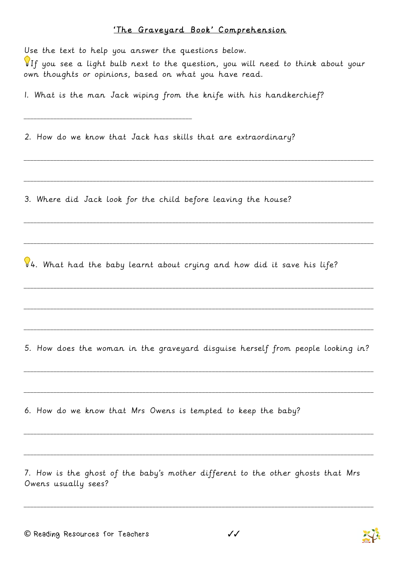## 'The Graveyard Book' Comprehension

Use the text to help you answer the questions below. If you see a light bulb next to the question, you will need to think about your own thoughts or opinions, based on what you have read. 1. What is the man Jack wiping from the knife with his handkerchief? \_\_\_\_\_\_\_\_\_\_\_\_\_\_\_\_\_\_\_\_\_\_\_\_\_\_\_\_\_\_\_\_\_\_\_\_\_\_\_\_\_\_\_\_\_\_\_\_\_\_\_ 2. How do we know that Jack has skills that are extraordinary? \_\_\_\_\_\_\_\_\_\_\_\_\_\_\_\_\_\_\_\_\_\_\_\_\_\_\_\_\_\_\_\_\_\_\_\_\_\_\_\_\_\_\_\_\_\_\_\_\_\_\_\_\_\_\_\_\_\_\_\_\_\_\_\_\_\_\_\_\_\_\_\_\_\_\_\_\_\_\_\_\_\_\_\_\_\_\_\_\_\_\_\_\_\_\_\_\_\_\_\_\_\_\_\_\_\_ \_\_\_\_\_\_\_\_\_\_\_\_\_\_\_\_\_\_\_\_\_\_\_\_\_\_\_\_\_\_\_\_\_\_\_\_\_\_\_\_\_\_\_\_\_\_\_\_\_\_\_\_\_\_\_\_\_\_\_\_\_\_\_\_\_\_\_\_\_\_\_\_\_\_\_\_\_\_\_\_\_\_\_\_\_\_\_\_\_\_\_\_\_\_\_\_\_\_\_\_\_\_\_\_\_\_ 3. Where did Jack look for the child before leaving the house? \_\_\_\_\_\_\_\_\_\_\_\_\_\_\_\_\_\_\_\_\_\_\_\_\_\_\_\_\_\_\_\_\_\_\_\_\_\_\_\_\_\_\_\_\_\_\_\_\_\_\_\_\_\_\_\_\_\_\_\_\_\_\_\_\_\_\_\_\_\_\_\_\_\_\_\_\_\_\_\_\_\_\_\_\_\_\_\_\_\_\_\_\_\_\_\_\_\_\_\_\_\_\_\_\_\_ \_\_\_\_\_\_\_\_\_\_\_\_\_\_\_\_\_\_\_\_\_\_\_\_\_\_\_\_\_\_\_\_\_\_\_\_\_\_\_\_\_\_\_\_\_\_\_\_\_\_\_\_\_\_\_\_\_\_\_\_\_\_\_\_\_\_\_\_\_\_\_\_\_\_\_\_\_\_\_\_\_\_\_\_\_\_\_\_\_\_\_\_\_\_\_\_\_\_\_\_\_\_\_\_\_\_  $4.$  What had the baby learnt about crying and how did it save his life? \_\_\_\_\_\_\_\_\_\_\_\_\_\_\_\_\_\_\_\_\_\_\_\_\_\_\_\_\_\_\_\_\_\_\_\_\_\_\_\_\_\_\_\_\_\_\_\_\_\_\_\_\_\_\_\_\_\_\_\_\_\_\_\_\_\_\_\_\_\_\_\_\_\_\_\_\_\_\_\_\_\_\_\_\_\_\_\_\_\_\_\_\_\_\_\_\_\_\_\_\_\_\_\_\_\_ \_\_\_\_\_\_\_\_\_\_\_\_\_\_\_\_\_\_\_\_\_\_\_\_\_\_\_\_\_\_\_\_\_\_\_\_\_\_\_\_\_\_\_\_\_\_\_\_\_\_\_\_\_\_\_\_\_\_\_\_\_\_\_\_\_\_\_\_\_\_\_\_\_\_\_\_\_\_\_\_\_\_\_\_\_\_\_\_\_\_\_\_\_\_\_\_\_\_\_\_\_\_\_\_\_\_ \_\_\_\_\_\_\_\_\_\_\_\_\_\_\_\_\_\_\_\_\_\_\_\_\_\_\_\_\_\_\_\_\_\_\_\_\_\_\_\_\_\_\_\_\_\_\_\_\_\_\_\_\_\_\_\_\_\_\_\_\_\_\_\_\_\_\_\_\_\_\_\_\_\_\_\_\_\_\_\_\_\_\_\_\_\_\_\_\_\_\_\_\_\_\_\_\_\_\_\_\_\_\_\_\_\_ 5. How does the woman in the graveyard disguise herself from people looking in? \_\_\_\_\_\_\_\_\_\_\_\_\_\_\_\_\_\_\_\_\_\_\_\_\_\_\_\_\_\_\_\_\_\_\_\_\_\_\_\_\_\_\_\_\_\_\_\_\_\_\_\_\_\_\_\_\_\_\_\_\_\_\_\_\_\_\_\_\_\_\_\_\_\_\_\_\_\_\_\_\_\_\_\_\_\_\_\_\_\_\_\_\_\_\_\_\_\_\_\_\_\_\_\_\_\_ \_\_\_\_\_\_\_\_\_\_\_\_\_\_\_\_\_\_\_\_\_\_\_\_\_\_\_\_\_\_\_\_\_\_\_\_\_\_\_\_\_\_\_\_\_\_\_\_\_\_\_\_\_\_\_\_\_\_\_\_\_\_\_\_\_\_\_\_\_\_\_\_\_\_\_\_\_\_\_\_\_\_\_\_\_\_\_\_\_\_\_\_\_\_\_\_\_\_\_\_\_\_\_\_\_\_ 6. How do we know that Mrs Owens is tempted to keep the baby? \_\_\_\_\_\_\_\_\_\_\_\_\_\_\_\_\_\_\_\_\_\_\_\_\_\_\_\_\_\_\_\_\_\_\_\_\_\_\_\_\_\_\_\_\_\_\_\_\_\_\_\_\_\_\_\_\_\_\_\_\_\_\_\_\_\_\_\_\_\_\_\_\_\_\_\_\_\_\_\_\_\_\_\_\_\_\_\_\_\_\_\_\_\_\_\_\_\_\_\_\_\_\_\_\_\_ \_\_\_\_\_\_\_\_\_\_\_\_\_\_\_\_\_\_\_\_\_\_\_\_\_\_\_\_\_\_\_\_\_\_\_\_\_\_\_\_\_\_\_\_\_\_\_\_\_\_\_\_\_\_\_\_\_\_\_\_\_\_\_\_\_\_\_\_\_\_\_\_\_\_\_\_\_\_\_\_\_\_\_\_\_\_\_\_\_\_\_\_\_\_\_\_\_\_\_\_\_\_\_\_\_\_ 7. How is the ghost of the baby's mother different to the other ghosts that Mrs Owens usually sees?



\_\_\_\_\_\_\_\_\_\_\_\_\_\_\_\_\_\_\_\_\_\_\_\_\_\_\_\_\_\_\_\_\_\_\_\_\_\_\_\_\_\_\_\_\_\_\_\_\_\_\_\_\_\_\_\_\_\_\_\_\_\_\_\_\_\_\_\_\_\_\_\_\_\_\_\_\_\_\_\_\_\_\_\_\_\_\_\_\_\_\_\_\_\_\_\_\_\_\_\_\_\_\_\_\_\_